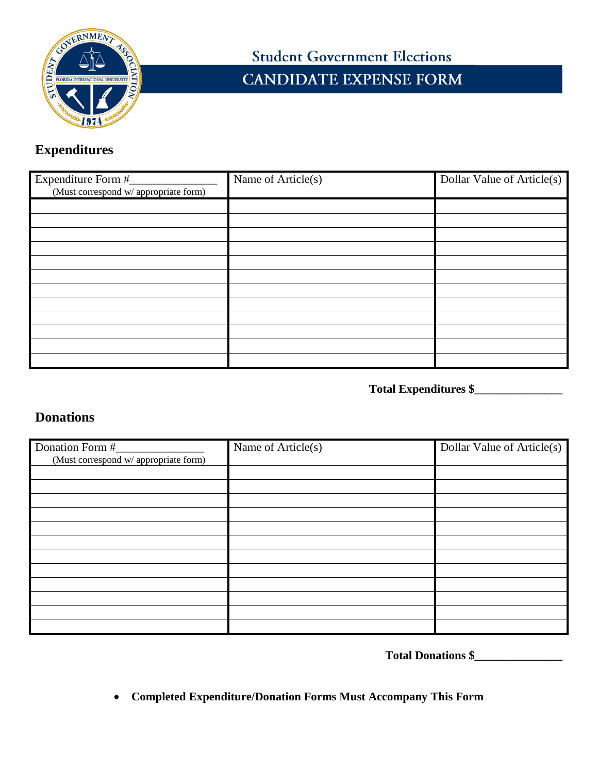

## **Student Government Elections CANDIDATE EXPENSE FORM**

## **Expenditures**

| Expenditure Form #<br>(Must correspond w/ appropriate form) | Name of Article(s) | Dollar Value of Article(s) |
|-------------------------------------------------------------|--------------------|----------------------------|
|                                                             |                    |                            |
|                                                             |                    |                            |
|                                                             |                    |                            |
|                                                             |                    |                            |
|                                                             |                    |                            |
|                                                             |                    |                            |
|                                                             |                    |                            |
|                                                             |                    |                            |
|                                                             |                    |                            |
|                                                             |                    |                            |
|                                                             |                    |                            |
|                                                             |                    |                            |

**Total Expenditures \$\_\_\_\_\_\_\_\_\_\_\_\_\_\_\_** 

## **Donations**

| Donation Form #                       | Name of Article(s) | Dollar Value of Article(s) |
|---------------------------------------|--------------------|----------------------------|
| (Must correspond w/ appropriate form) |                    |                            |
|                                       |                    |                            |
|                                       |                    |                            |
|                                       |                    |                            |
|                                       |                    |                            |
|                                       |                    |                            |
|                                       |                    |                            |
|                                       |                    |                            |
|                                       |                    |                            |
|                                       |                    |                            |
|                                       |                    |                            |
|                                       |                    |                            |
|                                       |                    |                            |

**Total Donations \$\_\_\_\_\_\_\_\_\_\_\_\_\_\_\_**

• **Completed Expenditure/Donation Forms Must Accompany This Form**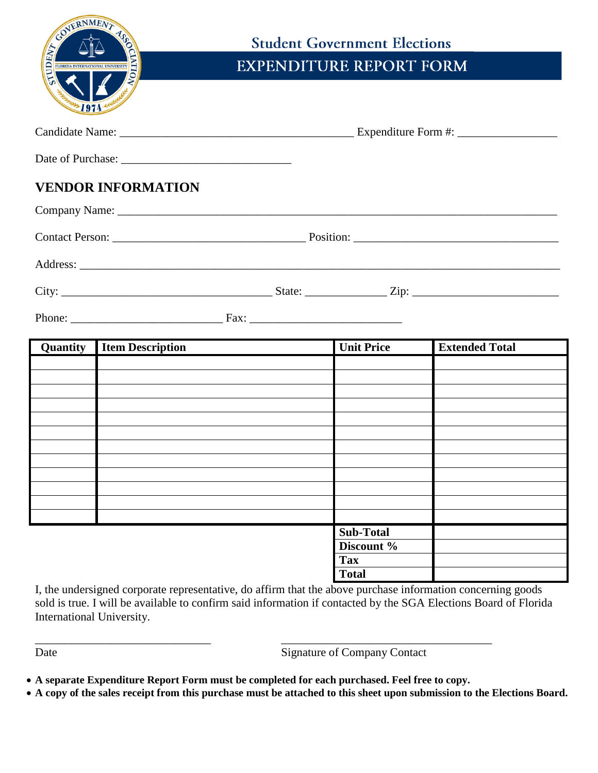| COVERNMENT<br>TUDENT | <b>EXPLANATIONAL UNIVERSITY</b> | <b>Student Government Elections</b><br><b>EXPENDITURE REPORT FORM</b> |                       |
|----------------------|---------------------------------|-----------------------------------------------------------------------|-----------------------|
|                      |                                 |                                                                       |                       |
|                      |                                 |                                                                       |                       |
|                      | <b>VENDOR INFORMATION</b>       |                                                                       |                       |
|                      |                                 |                                                                       |                       |
|                      |                                 |                                                                       |                       |
|                      |                                 |                                                                       |                       |
|                      |                                 |                                                                       |                       |
|                      |                                 |                                                                       |                       |
| Quantity             | <b>Item Description</b>         | <b>Unit Price</b>                                                     | <b>Extended Total</b> |
|                      |                                 |                                                                       |                       |
|                      |                                 |                                                                       |                       |
|                      |                                 |                                                                       |                       |
|                      |                                 |                                                                       |                       |
|                      |                                 |                                                                       |                       |
|                      |                                 |                                                                       |                       |
|                      |                                 |                                                                       |                       |
|                      |                                 |                                                                       |                       |
|                      |                                 | <b>Sub-Total</b>                                                      |                       |
|                      |                                 | Discount %                                                            |                       |
|                      |                                 | <b>Tax</b>                                                            |                       |
|                      |                                 | <b>Total</b>                                                          |                       |

I, the undersigned corporate representative, do affirm that the above purchase information concerning goods sold is true. I will be available to confirm said information if contacted by the SGA Elections Board of Florida International University.

\_\_\_\_\_\_\_\_\_\_\_\_\_\_\_\_\_\_\_\_\_\_\_\_\_\_\_\_\_\_ \_\_\_\_\_\_\_\_\_\_\_\_\_\_\_\_\_\_\_\_\_\_\_\_\_\_\_\_\_\_\_\_\_\_\_\_ Date Signature of Company Contact

- **A separate Expenditure Report Form must be completed for each purchased. Feel free to copy.**
- **A copy of the sales receipt from this purchase must be attached to this sheet upon submission to the Elections Board.**